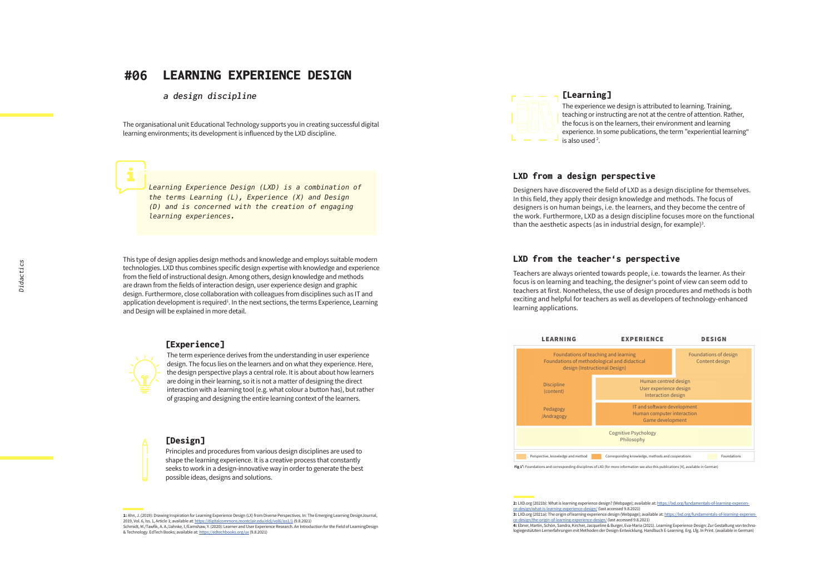#### **#06** LEARNING EXPERIENCE DESIGN

**a design discipline**

The organisational unit Educational Technology supports you in creating successful digital learning environments; its development is influenced by the LXD discipline.

*Learning Experience Design (LXD) is a combination of the terms Learning (L), Experience (X) and Design (D) and is concerned with the creation of engaging learning experiences.*

This type of design applies design methods and knowledge and employs suitable modern technologies. LXD thus combines specific design expertise with knowledge and experience from the field of instructional design. Among others, design knowledge and methods are drawn from the fields of interaction design, user experience design and graphic design. Furthermore, close collaboration with colleagues from disciplines such as IT and application development is required<sup>1</sup>. In the next sections, the terms Experience, Learning and Design will be explained in more detail.

### [Experience]

The term experience derives from the understanding in user experience design. The focus lies on the learners and on what they experience. Here, the design perspective plays a central role. It is about about how learners are doing in their learning, so it is not a matter of designing the direct interaction with a learning tool (e.g. what colour a button has), but rather of grasping and designing the entire learning context of the learners.

### [Design]

Principles and procedures from various design disciplines are used to shape the learning experience. It is a creative process that constantly seeks to work in a design-innovative way in order to generate the best possible ideas, designs and solutions.

**1:** Ahn, J. (2019): Drawing Inspiration for Learning Experience Design (LX) from Diverse Perspectives. In: The Emerging Learning DesignJournal, 2019, Vol. 6, Iss. 1, Article 1; available at:<https://digitalcommons.montclair.edu/eldj/vol6/iss1/1> (9.8.2021) Schmidt, M./Tawfik, A. A./Jahnke, I./Earnshaw, Y. (2020): Learner and User Experience Research. An Introduction for the Field of LearningDesign & Technology. EdTech Books; available at:<https://edtechbooks.org/ux> (9.8.2021)



### [Learning]

The experience we design is attributed to learning. Training, teaching or instructing are not at the centre of attention. Rather, the focus is on the learners, their environment and learning experience. In some publications, the term "experiential learning" is also used <sup>2</sup>.

### LXD from a design perspective

Designers have discovered the field of LXD as a design discipline for themselves. In this field, they apply their design knowledge and methods. The focus of designers is on human beings, i.e. the learners, and they become the centre of the work. Furthermore, LXD as a design discipline focuses more on the functional than the aesthetic aspects (as in industrial design, for example)<sup>3</sup>.

### LXD from the teacher's perspective

Teachers are always oriented towards people, i.e. towards the learner. As their focus is on learning and teaching, the designer's point of view can seem odd to teachers at first. Nonetheless, the use of design procedures and methods is both exciting and helpful for teachers as well as developers of technology-enhanced learning applications.



**Fig 1<sup>4</sup>:** Foundations and corresponding disciplines of LXD (for more information see also this publications [4], available in German)

2: LXD.org (2021b): What is learning experience design? (Webpage); available at: https://lxd.org/fundamentals-of-learning-ex [ce-design/what-is-learning-experience-design/](https://lxd.org/fundamentals-of-learning-experience-design/what-is-learning-experience-design/) (last accessed 9.8.2021)

**4:** Ebner, Martin, Schön, Sandra, Kircher, Jacqueline & Burger, Eva-Maria (2021). Learning Experience Design: Zur Gestaltung von technologiegestützten Lernerfahrungen mit Methoden der Design-Entwicklung. Handbuch E-Learning. Erg. Lfg. In Print. (available in German)

<sup>3:</sup> LXD.org (2021a): The origin of learning experience design (Webpage); available at: https://lxd.org/fundamentals-of-learning-experie [ce-design/the-origin-of-learning-experience-design/](https://lxd.org/fundamentals-of-learning-experience-design/the-origin-of-learning-experience-design/) (last accessed 9.8.2021)